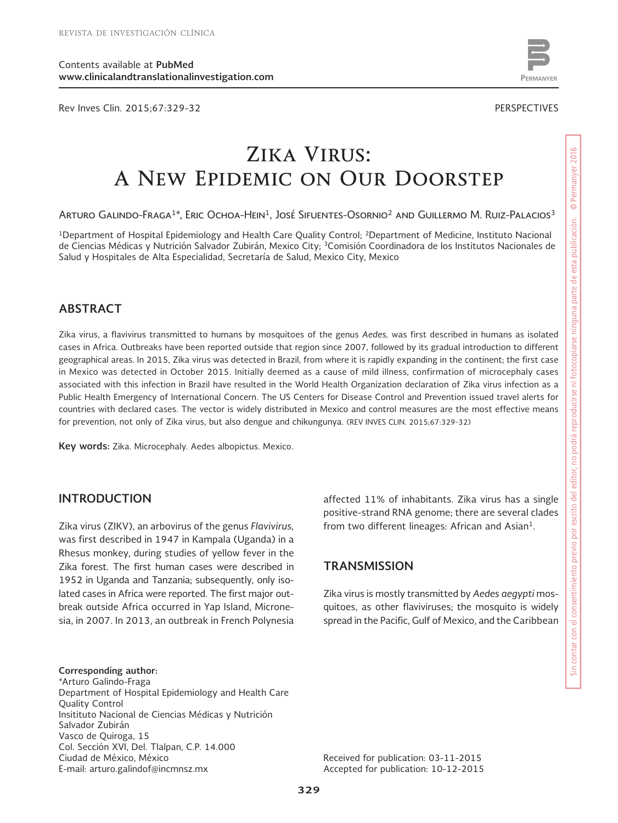Rev Inves Clin. 2015;67:329-32 PERSPECTIVES



www.permanyer.com

# **Zika Virus: A New Epidemic on Our Doorstep**

ARTURO GALINDO-FRAGA<sup>1\*</sup>, ERIC OCHOA-HEIN<sup>1</sup>, JOSÉ SIFUENTES-OSORNIO<sup>2</sup> AND GUILLERMO M. RUIZ-PALACIOS<sup>3</sup>

<sup>1</sup>Department of Hospital Epidemiology and Health Care Quality Control; <sup>2</sup>Department of Medicine, Instituto Nacional de Ciencias Médicas y Nutrición Salvador Zubirán, Mexico City; 3Comisión Coordinadora de los Institutos Nacionales de Salud y Hospitales de Alta Especialidad, Secretaría de Salud, Mexico City, Mexico

## **ABSTRACT**

Zika virus, a flavivirus transmitted to humans by mosquitoes of the genus *Aedes,* was first described in humans as isolated cases in Africa. Outbreaks have been reported outside that region since 2007, followed by its gradual introduction to different geographical areas. In 2015, Zika virus was detected in Brazil, from where it is rapidly expanding in the continent; the first case in Mexico was detected in October 2015. Initially deemed as a cause of mild illness, confirmation of microcephaly cases associated with this infection in Brazil have resulted in the World Health Organization declaration of Zika virus infection as a Public Health Emergency of International Concern. The US Centers for Disease Control and Prevention issued travel alerts for countries with declared cases. The vector is widely distributed in Mexico and control measures are the most effective means for prevention, not only of Zika virus, but also dengue and chikungunya. (REV INVES CLIN. 2015;67:329-32)

**Key words:** Zika. Microcephaly. Aedes albopictus. Mexico.

#### **INTRODUCTION**

Zika virus (ZIKV), an arbovirus of the genus *Flavivirus,* was first described in 1947 in Kampala (Uganda) in a Rhesus monkey, during studies of yellow fever in the Zika forest. The first human cases were described in 1952 in Uganda and Tanzania; subsequently, only isolated cases in Africa were reported. The first major outbreak outside Africa occurred in Yap Island, Micronesia, in 2007. In 2013, an outbreak in French Polynesia

**Corresponding author:** \*Arturo Galindo-Fraga Department of Hospital Epidemiology and Health Care Quality Control Insitituto Nacional de Ciencias Médicas y Nutrición Salvador Zubirán Vasco de Quiroga, 15 Col. Sección XVI, Del. Tlalpan, C.P. 14.000 Ciudad de México, México E-mail: arturo.galindof@incmnsz.mx

affected 11% of inhabitants. Zika virus has a single positive-strand RNA genome; there are several clades from two different lineages: African and Asian<sup>1</sup>.

#### **TRANSMISSION**

Zika virus is mostly transmitted by *Aedes aegypti* mosquitoes, as other flaviviruses; the mosquito is widely spread in the Pacific, Gulf of Mexico, and the Caribbean

Received for publication: 03-11-2015 Accepted for publication: 10-12-2015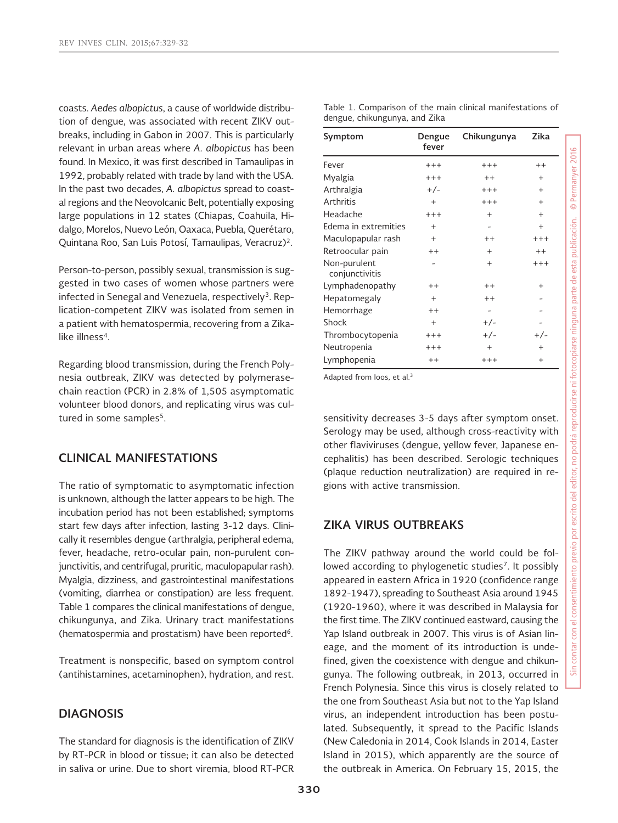coasts. *Aedes albopictus*, a cause of worldwide distribution of dengue, was associated with recent ZIKV outbreaks, including in Gabon in 2007. This is particularly relevant in urban areas where *A. albopictus* has been found. In Mexico, it was first described in Tamaulipas in 1992, probably related with trade by land with the USA. In the past two decades, *A. albopictus* spread to coastal regions and the Neovolcanic Belt, potentially exposing large populations in 12 states (Chiapas, Coahuila, Hidalgo, Morelos, Nuevo León, Oaxaca, Puebla, Querétaro, Quintana Roo, San Luis Potosí, Tamaulipas, Veracruz)2.

Person-to-person, possibly sexual, transmission is suggested in two cases of women whose partners were infected in Senegal and Venezuela, respectively<sup>3</sup>. Replication-competent ZIKV was isolated from semen in a patient with hematospermia, recovering from a Zikalike illness<sup>4</sup>.

Regarding blood transmission, during the French Polynesia outbreak, ZIKV was detected by polymerasechain reaction (PCR) in 2.8% of 1,505 asymptomatic volunteer blood donors, and replicating virus was cultured in some samples<sup>5</sup>.

#### **CLINICAL MANIFESTATIONS**

The ratio of symptomatic to asymptomatic infection is unknown, although the latter appears to be high. The incubation period has not been established; symptoms start few days after infection, lasting 3-12 days. Clinically it resembles dengue (arthralgia, peripheral edema, fever, headache, retro-ocular pain, non-purulent conjunctivitis, and centrifugal, pruritic, maculopapular rash). Myalgia, dizziness, and gastrointestinal manifestations (vomiting, diarrhea or constipation) are less frequent. Table 1 compares the clinical manifestations of dengue, chikungunya, and Zika. Urinary tract manifestations (hematospermia and prostatism) have been reported<sup>6</sup>.

Treatment is nonspecific, based on symptom control (antihistamines, acetaminophen), hydration, and rest.

#### **DIAGNOSIS**

The standard for diagnosis is the identification of ZIKV by RT-PCR in blood or tissue; it can also be detected in saliva or urine. Due to short viremia, blood RT-PCR

|                               |  | Table 1. Comparison of the main clinical manifestations of |  |
|-------------------------------|--|------------------------------------------------------------|--|
| dengue, chikungunya, and Zika |  |                                                            |  |

| Symptom                        | Dengue<br>fever | Chikungunya              | Zika      |
|--------------------------------|-----------------|--------------------------|-----------|
| Fever                          | $+++$           | $+++$                    | $++$      |
| Myalgia                        | $+++$           | $+ +$                    | $\ddot{}$ |
| Arthralgia                     | $+/-$           | $+++$                    | $^{+}$    |
| <b>Arthritis</b>               | $+$             | $+++$                    | $^{+}$    |
| Headache                       | $+++$           | $+$                      | $+$       |
| Edema in extremities           | $+$             | $\overline{\phantom{m}}$ | $+$       |
| Maculopapular rash             | $+$             | $+ +$                    | $+++$     |
| Retroocular pain               | $+ +$           | $^{+}$                   | $+ +$     |
| Non-purulent<br>conjunctivitis |                 | $+$                      | $+++$     |
| Lymphadenopathy                | $++$            | $+ +$                    | $^{+}$    |
| Hepatomegaly                   | $\ddot{}$       | $+ +$                    |           |
| Hemorrhage                     | $++$            | ۰                        |           |
| Shock                          | $+$             | $+/-$                    |           |
| Thrombocytopenia               | $+++$           | $+/-$                    | $+/-$     |
| Neutropenia                    | $+++$           | $+$                      | $^{+}$    |
| Lymphopenia                    | $^{++}$         | $+++$                    | $^{+}$    |

Adapted from Ioos, et al.3

sensitivity decreases 3-5 days after symptom onset. Serology may be used, although cross-reactivity with other flaviviruses (dengue, yellow fever, Japanese encephalitis) has been described. Serologic techniques (plaque reduction neutralization) are required in regions with active transmission.

## **ZIKA VIRUS OUTBREAKS**

The ZIKV pathway around the world could be followed according to phylogenetic studies<sup>7</sup>. It possibly appeared in eastern Africa in 1920 (confidence range 1892-1947), spreading to Southeast Asia around 1945 (1920-1960), where it was described in Malaysia for the first time. The ZIKV continued eastward, causing the Yap Island outbreak in 2007. This virus is of Asian lineage, and the moment of its introduction is undefined, given the coexistence with dengue and chikungunya. The following outbreak, in 2013, occurred in French Polynesia. Since this virus is closely related to the one from Southeast Asia but not to the Yap Island virus, an independent introduction has been postulated. Subsequently, it spread to the Pacific Islands (New Caledonia in 2014, Cook Islands in 2014, Easter Island in 2015), which apparently are the source of the outbreak in America. On February 15, 2015, the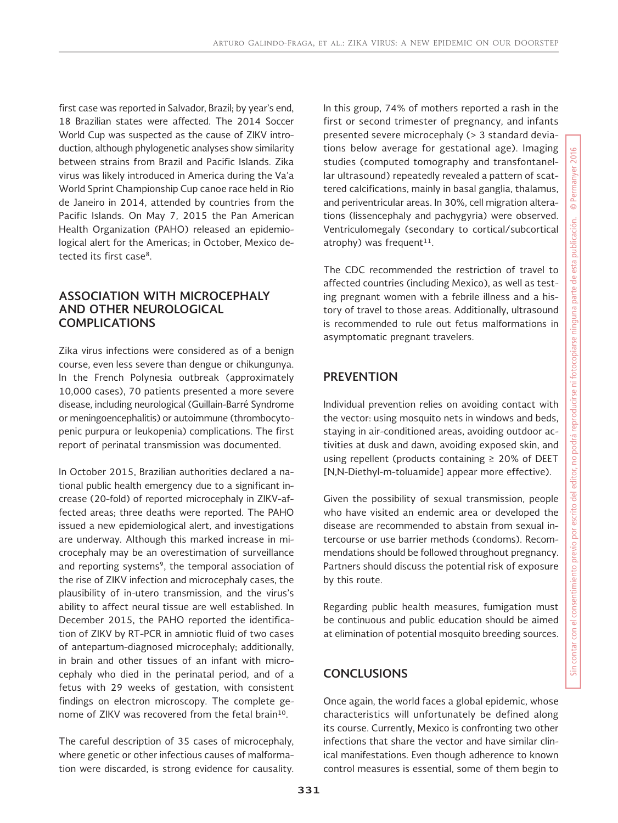first case was reported in Salvador, Brazil; by year's end, 18 Brazilian states were affected. The 2014 Soccer World Cup was suspected as the cause of ZIKV introduction, although phylogenetic analyses show similarity between strains from Brazil and Pacific Islands. Zika virus was likely introduced in America during the Va'a World Sprint Championship Cup canoe race held in Rio de Janeiro in 2014, attended by countries from the Pacific Islands. On May 7, 2015 the Pan American Health Organization (PAHO) released an epidemiological alert for the Americas; in October, Mexico detected its first case8.

## **ASSOCIATION WITH MICROCEPHALY AND OTHER NEUROLOGICAL COMPLICATIONS**

Zika virus infections were considered as of a benign course, even less severe than dengue or chikungunya. In the French Polynesia outbreak (approximately 10,000 cases), 70 patients presented a more severe disease, including neurological (Guillain-Barré Syndrome or meningoencephalitis) or autoimmune (thrombocytopenic purpura or leukopenia) complications. The first report of perinatal transmission was documented.

In October 2015, Brazilian authorities declared a national public health emergency due to a significant increase (20-fold) of reported microcephaly in ZIKV-affected areas; three deaths were reported. The PAHO issued a new epidemiological alert, and investigations are underway. Although this marked increase in microcephaly may be an overestimation of surveillance and reporting systems<sup>9</sup>, the temporal association of the rise of ZIKV infection and microcephaly cases, the plausibility of in-utero transmission, and the virus's ability to affect neural tissue are well established. In December 2015, the PAHO reported the identification of ZIKV by RT-PCR in amniotic fluid of two cases of antepartum-diagnosed microcephaly; additionally, in brain and other tissues of an infant with microcephaly who died in the perinatal period, and of a fetus with 29 weeks of gestation, with consistent findings on electron microscopy. The complete genome of ZIKV was recovered from the fetal brain10.

The careful description of 35 cases of microcephaly, where genetic or other infectious causes of malformation were discarded, is strong evidence for causality. In this group, 74% of mothers reported a rash in the first or second trimester of pregnancy, and infants presented severe microcephaly (> 3 standard deviations below average for gestational age). Imaging studies (computed tomography and transfontanellar ultrasound) repeatedly revealed a pattern of scattered calcifications, mainly in basal ganglia, thalamus, and periventricular areas. In 30%, cell migration alterations (lissencephaly and pachygyria) were observed. Ventriculomegaly (secondary to cortical/subcortical atrophy) was frequent $11$ .

The CDC recommended the restriction of travel to affected countries (including Mexico), as well as testing pregnant women with a febrile illness and a history of travel to those areas. Additionally, ultrasound is recommended to rule out fetus malformations in asymptomatic pregnant travelers.

## **PREVENTION**

Individual prevention relies on avoiding contact with the vector: using mosquito nets in windows and beds, staying in air-conditioned areas, avoiding outdoor activities at dusk and dawn, avoiding exposed skin, and using repellent (products containing  $\geq 20\%$  of DEET [N,N-Diethyl-m-toluamide] appear more effective).

Given the possibility of sexual transmission, people who have visited an endemic area or developed the disease are recommended to abstain from sexual intercourse or use barrier methods (condoms). Recommendations should be followed throughout pregnancy. Partners should discuss the potential risk of exposure by this route.

Regarding public health measures, fumigation must be continuous and public education should be aimed at elimination of potential mosquito breeding sources.

## **CONCLUSIONS**

Once again, the world faces a global epidemic, whose characteristics will unfortunately be defined along its course. Currently, Mexico is confronting two other infections that share the vector and have similar clinical manifestations. Even though adherence to known control measures is essential, some of them begin to